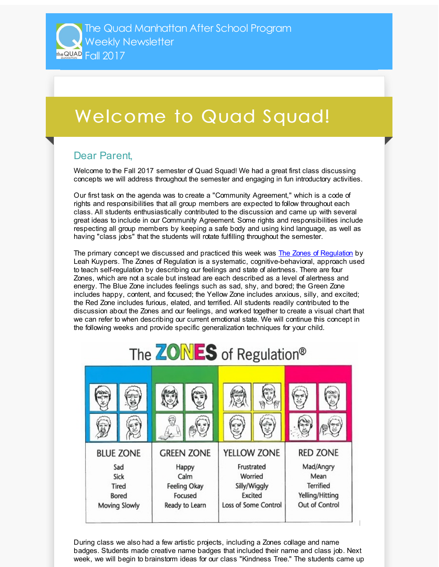## Welcome to Quad Squad!

## Dear Parent,

Welcome to the Fall 2017 semester of Quad Squad! We had a great first class discussing concepts we will address throughout the semester and engaging in fun introductory activities.

Our first task on the agenda was to create a "Community Agreement," which is a code of rights and responsibilities that all group members are expected to follow throughout each class. All students enthusiastically contributed to the discussion and came up with several great ideas to include in our Community Agreement. Some rights and responsibilities include respecting all group members by keeping a safe body and using kind language, as well as having "class jobs" that the students will rotate fulfilling throughout the semester.

The primary concept we discussed and practiced this week was The Zones of [Regulation](http://r20.rs6.net/tn.jsp?f=001tvHcBWkPDxwG-SaMAq4woZEyS5CavIz0ijXK09Vybj_rsLP4ozKQAbxTFT1SaJhTAmQGmAnNyLAQGrD6r1Ri-1MHOI3I0VtJYa1066l7aS1UM89BsG-VwaE9WGfSAiFinz3FUVWmgzqeoyo4UIydjcygu5bJWYMVJ_CZGtXGSpgemAqLn6MV-r8a_IylbdJx2dA3I6bPaXg=&c=&ch=) by Leah Kuypers. The Zones of Regulation is a systematic, cognitive-behavioral, approach used to teach self-regulation by describing our feelings and state of alertness. There are four Zones, which are not a scale but instead are each described as a level of alertness and energy. The Blue Zone includes feelings such as sad, shy, and bored; the Green Zone includes happy, content, and focused; the Yellow Zone includes anxious, silly, and excited; the Red Zone includes furious, elated, and terrified. All students readily contributed to the discussion about the Zones and our feelings, and worked together to create a visual chart that we can refer to when describing our current emotional state. We will continue this concept in the following weeks and provide specific generalization techniques for your child.



During class we also had a few artistic projects, including a Zones collage and name badges. Students made creative name badges that included their name and class job. Next week, we will begin to brainstorm ideas for our class "Kindness Tree." The students came up